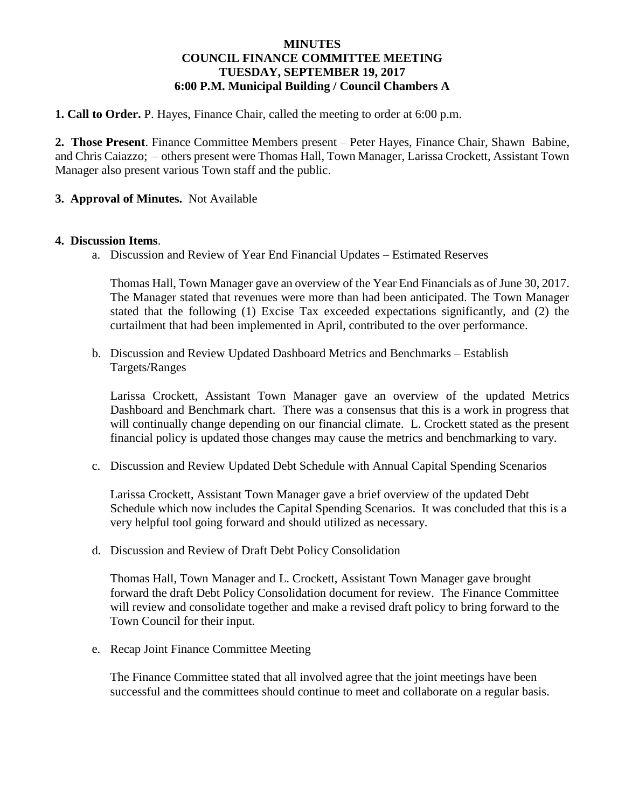## **MINUTES COUNCIL FINANCE COMMITTEE MEETING TUESDAY, SEPTEMBER 19, 2017 6:00 P.M. Municipal Building / Council Chambers A**

**1. Call to Order.** P. Hayes, Finance Chair, called the meeting to order at 6:00 p.m.

**2. Those Present**. Finance Committee Members present – Peter Hayes, Finance Chair, Shawn Babine, and Chris Caiazzo; – others present were Thomas Hall, Town Manager, Larissa Crockett, Assistant Town Manager also present various Town staff and the public.

## **3. Approval of Minutes.** Not Available

#### **4. Discussion Items**.

a. Discussion and Review of Year End Financial Updates – Estimated Reserves

Thomas Hall, Town Manager gave an overview of the Year End Financials as of June 30, 2017. The Manager stated that revenues were more than had been anticipated. The Town Manager stated that the following (1) Excise Tax exceeded expectations significantly, and (2) the curtailment that had been implemented in April, contributed to the over performance.

b. Discussion and Review Updated Dashboard Metrics and Benchmarks – Establish Targets/Ranges

Larissa Crockett, Assistant Town Manager gave an overview of the updated Metrics Dashboard and Benchmark chart. There was a consensus that this is a work in progress that will continually change depending on our financial climate. L. Crockett stated as the present financial policy is updated those changes may cause the metrics and benchmarking to vary.

c. Discussion and Review Updated Debt Schedule with Annual Capital Spending Scenarios

Larissa Crockett, Assistant Town Manager gave a brief overview of the updated Debt Schedule which now includes the Capital Spending Scenarios. It was concluded that this is a very helpful tool going forward and should utilized as necessary.

d. Discussion and Review of Draft Debt Policy Consolidation

Thomas Hall, Town Manager and L. Crockett, Assistant Town Manager gave brought forward the draft Debt Policy Consolidation document for review. The Finance Committee will review and consolidate together and make a revised draft policy to bring forward to the Town Council for their input.

e. Recap Joint Finance Committee Meeting

The Finance Committee stated that all involved agree that the joint meetings have been successful and the committees should continue to meet and collaborate on a regular basis.